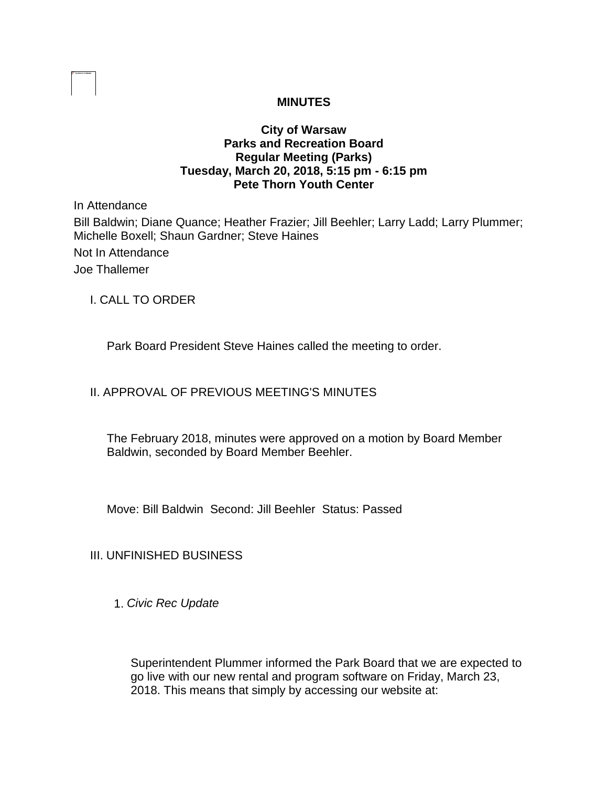## **MINUTES**

### **City of Warsaw Parks and Recreation Board Regular Meeting (Parks) Tuesday, March 20, 2018, 5:15 pm - 6:15 pm Pete Thorn Youth Center**

In Attendance

Bill Baldwin; Diane Quance; Heather Frazier; Jill Beehler; Larry Ladd; Larry Plummer; Michelle Boxell; Shaun Gardner; Steve Haines

Not In Attendance

Joe Thallemer

I. CALL TO ORDER

Park Board President Steve Haines called the meeting to order.

# II. APPROVAL OF PREVIOUS MEETING'S MINUTES

The February 2018, minutes were approved on a motion by Board Member Baldwin, seconded by Board Member Beehler.

Move: Bill Baldwin Second: Jill Beehler Status: Passed

# III. UNFINISHED BUSINESS

1. *Civic Rec Update*

Superintendent Plummer informed the Park Board that we are expected to go live with our new rental and program software on Friday, March 23, 2018. This means that simply by accessing our website at: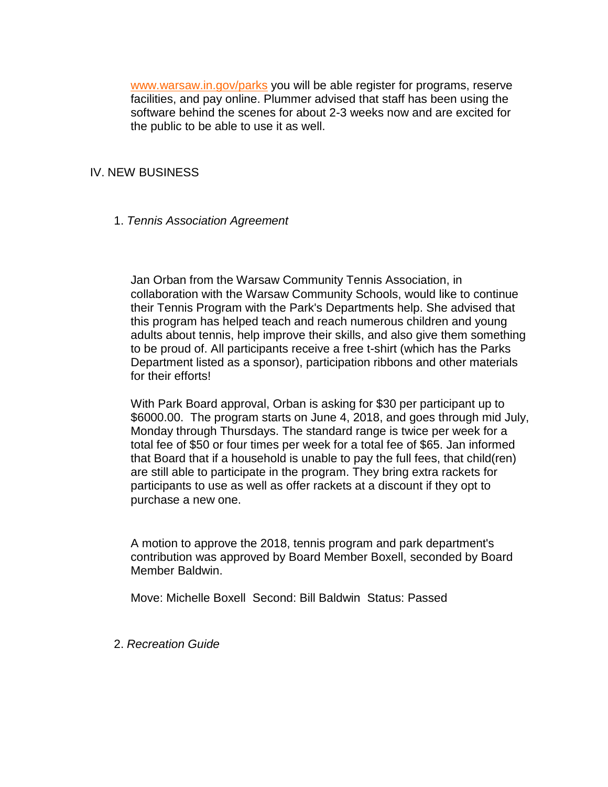[www.warsaw.in.gov/parks](http://www.warsaw.in.gov/parks) you will be able register for programs, reserve facilities, and pay online. Plummer advised that staff has been using the software behind the scenes for about 2-3 weeks now and are excited for the public to be able to use it as well.

### IV. NEW BUSINESS

1. *Tennis Association Agreement* 

Jan Orban from the Warsaw Community Tennis Association, in collaboration with the Warsaw Community Schools, would like to continue their Tennis Program with the Park's Departments help. She advised that this program has helped teach and reach numerous children and young adults about tennis, help improve their skills, and also give them something to be proud of. All participants receive a free t-shirt (which has the Parks Department listed as a sponsor), participation ribbons and other materials for their efforts!

With Park Board approval, Orban is asking for \$30 per participant up to \$6000.00. The program starts on June 4, 2018, and goes through mid July, Monday through Thursdays. The standard range is twice per week for a total fee of \$50 or four times per week for a total fee of \$65. Jan informed that Board that if a household is unable to pay the full fees, that child(ren) are still able to participate in the program. They bring extra rackets for participants to use as well as offer rackets at a discount if they opt to purchase a new one.

A motion to approve the 2018, tennis program and park department's contribution was approved by Board Member Boxell, seconded by Board Member Baldwin.

Move: Michelle Boxell Second: Bill Baldwin Status: Passed

2. *Recreation Guide*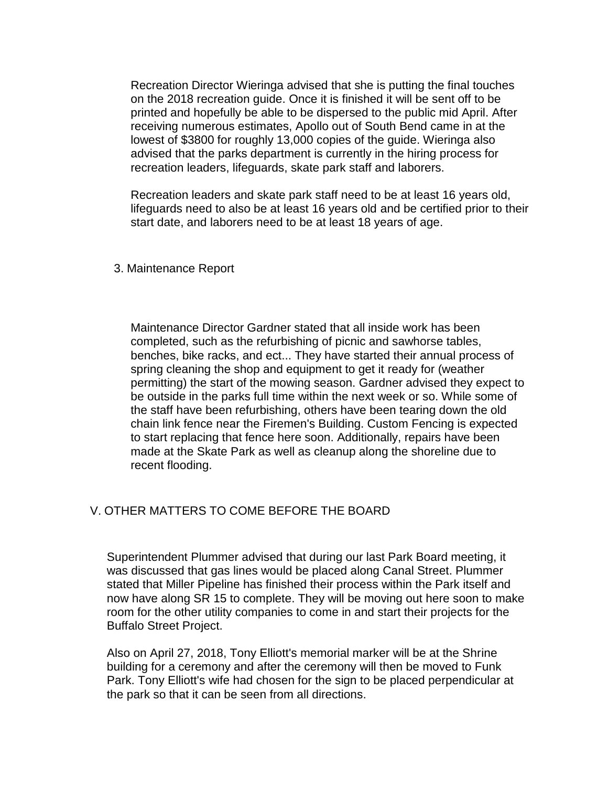Recreation Director Wieringa advised that she is putting the final touches on the 2018 recreation guide. Once it is finished it will be sent off to be printed and hopefully be able to be dispersed to the public mid April. After receiving numerous estimates, Apollo out of South Bend came in at the lowest of \$3800 for roughly 13,000 copies of the guide. Wieringa also advised that the parks department is currently in the hiring process for recreation leaders, lifeguards, skate park staff and laborers.

Recreation leaders and skate park staff need to be at least 16 years old, lifeguards need to also be at least 16 years old and be certified prior to their start date, and laborers need to be at least 18 years of age.

#### 3. Maintenance Report

Maintenance Director Gardner stated that all inside work has been completed, such as the refurbishing of picnic and sawhorse tables, benches, bike racks, and ect... They have started their annual process of spring cleaning the shop and equipment to get it ready for (weather permitting) the start of the mowing season. Gardner advised they expect to be outside in the parks full time within the next week or so. While some of the staff have been refurbishing, others have been tearing down the old chain link fence near the Firemen's Building. Custom Fencing is expected to start replacing that fence here soon. Additionally, repairs have been made at the Skate Park as well as cleanup along the shoreline due to recent flooding.

#### V. OTHER MATTERS TO COME BEFORE THE BOARD

Superintendent Plummer advised that during our last Park Board meeting, it was discussed that gas lines would be placed along Canal Street. Plummer stated that Miller Pipeline has finished their process within the Park itself and now have along SR 15 to complete. They will be moving out here soon to make room for the other utility companies to come in and start their projects for the Buffalo Street Project.

Also on April 27, 2018, Tony Elliott's memorial marker will be at the Shrine building for a ceremony and after the ceremony will then be moved to Funk Park. Tony Elliott's wife had chosen for the sign to be placed perpendicular at the park so that it can be seen from all directions.